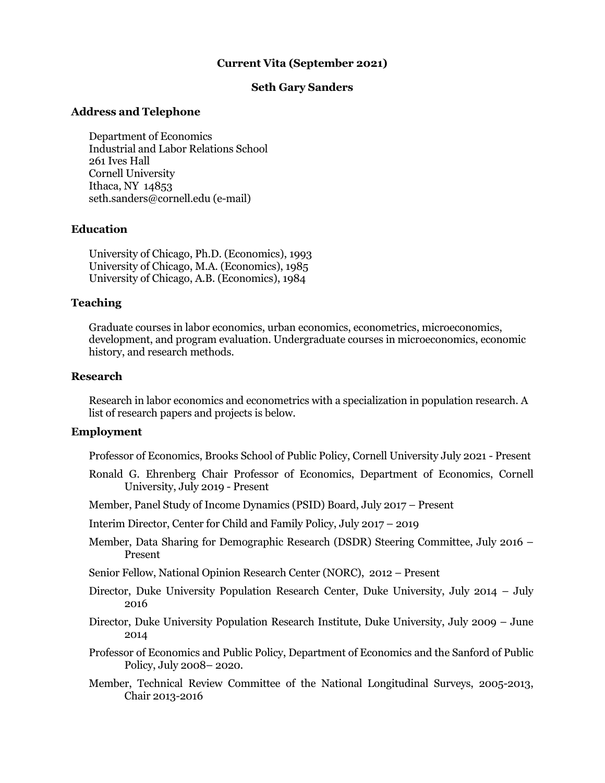# **Current Vita (September 2021)**

## **Seth Gary Sanders**

#### **Address and Telephone**

Department of Economics Industrial and Labor Relations School 261 Ives Hall Cornell University Ithaca, NY 14853 seth.sanders@cornell.edu (e-mail)

### **Education**

University of Chicago, Ph.D. (Economics), 1993 University of Chicago, M.A. (Economics), 1985 University of Chicago, A.B. (Economics), 1984

#### **Teaching**

Graduate courses in labor economics, urban economics, econometrics, microeconomics, development, and program evaluation. Undergraduate courses in microeconomics, economic history, and research methods.

#### **Research**

Research in labor economics and econometrics with a specialization in population research. A list of research papers and projects is below.

# **Employment**

Professor of Economics, Brooks School of Public Policy, Cornell University July 2021 - Present

Ronald G. Ehrenberg Chair Professor of Economics, Department of Economics, Cornell University, July 2019 - Present

Member, Panel Study of Income Dynamics (PSID) Board, July 2017 – Present

Interim Director, Center for Child and Family Policy, July 2017 – 2019

Member, Data Sharing for Demographic Research (DSDR) Steering Committee, July 2016 – Present

Senior Fellow, National Opinion Research Center (NORC), 2012 – Present

- Director, Duke University Population Research Center, Duke University, July 2014 July 2016
- Director, Duke University Population Research Institute, Duke University, July 2009 June 2014
- Professor of Economics and Public Policy, Department of Economics and the Sanford of Public Policy, July 2008– 2020.
- Member, Technical Review Committee of the National Longitudinal Surveys, 2005-2013, Chair 2013-2016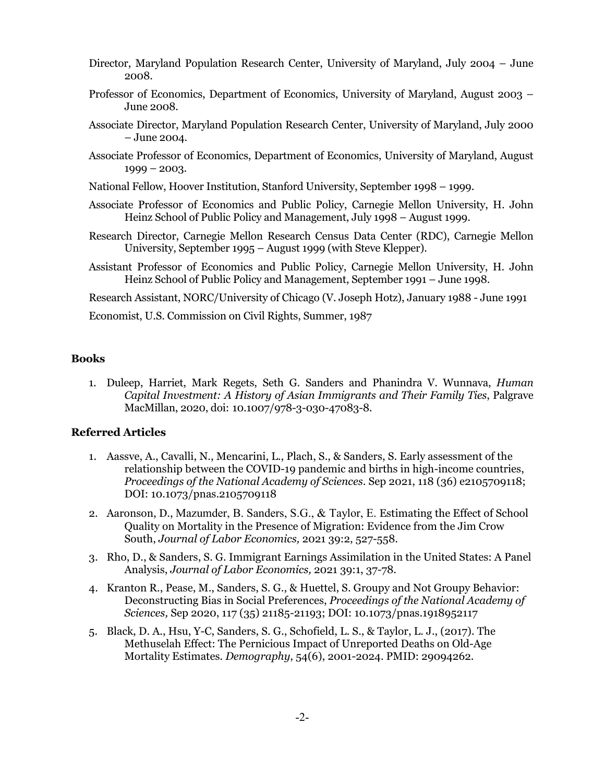- Director, Maryland Population Research Center, University of Maryland, July 2004 June 2008.
- Professor of Economics, Department of Economics, University of Maryland, August 2003 June 2008.
- Associate Director, Maryland Population Research Center, University of Maryland, July 2000 – June 2004.
- Associate Professor of Economics, Department of Economics, University of Maryland, August 1999 – 2003.
- National Fellow, Hoover Institution, Stanford University, September 1998 1999.
- Associate Professor of Economics and Public Policy, Carnegie Mellon University, H. John Heinz School of Public Policy and Management, July 1998 – August 1999.
- Research Director, Carnegie Mellon Research Census Data Center (RDC), Carnegie Mellon University, September 1995 – August 1999 (with Steve Klepper).
- Assistant Professor of Economics and Public Policy, Carnegie Mellon University, H. John Heinz School of Public Policy and Management, September 1991 – June 1998.

Research Assistant, NORC/University of Chicago (V. Joseph Hotz), January 1988 - June 1991

Economist, U.S. Commission on Civil Rights, Summer, 1987

### **Books**

1. Duleep, Harriet, Mark Regets, Seth G. Sanders and Phanindra V. Wunnava, *Human Capital Investment: A History of Asian Immigrants and Their Family Ties*, Palgrave MacMillan, 2020, doi: 10.1007/978-3-030-47083-8*.*

#### **Referred Articles**

- 1. Aassve, A., Cavalli, N., Mencarini, L., Plach, S., & Sanders, S. Early assessment of the relationship between the COVID-19 pandemic and births in high-income countries, *Proceedings of the National Academy of Sciences*. Sep 2021, 118 (36) e2105709118; DOI: 10.1073/pnas.2105709118
- 2. Aaronson, D., Mazumder, B. Sanders, S.G., & Taylor, E. Estimating the Effect of School Quality on Mortality in the Presence of Migration: Evidence from the Jim Crow South, *Journal of Labor Economics,* 2021 39:2, 527-558*.*
- 3. Rho, D., & Sanders, S. G. Immigrant Earnings Assimilation in the United States: A Panel Analysis, *Journal of Labor Economics,* 2021 39:1, 37-78*.*
- 4. Kranton R., Pease, M., Sanders, S. G., & Huettel, S. Groupy and Not Groupy Behavior: Deconstructing Bias in Social Preferences, *Proceedings of the National Academy of Sciences,* Sep 2020, 117 (35) 21185-21193; DOI: 10.1073/pnas.1918952117
- 5. Black, D. A., Hsu, Y-C, Sanders, S. G., Schofield, L. S., & Taylor, L. J., (2017). The Methuselah Effect: The Pernicious Impact of Unreported Deaths on Old-Age Mortality Estimates*. Demography*, 54(6), 2001-2024. PMID: 29094262.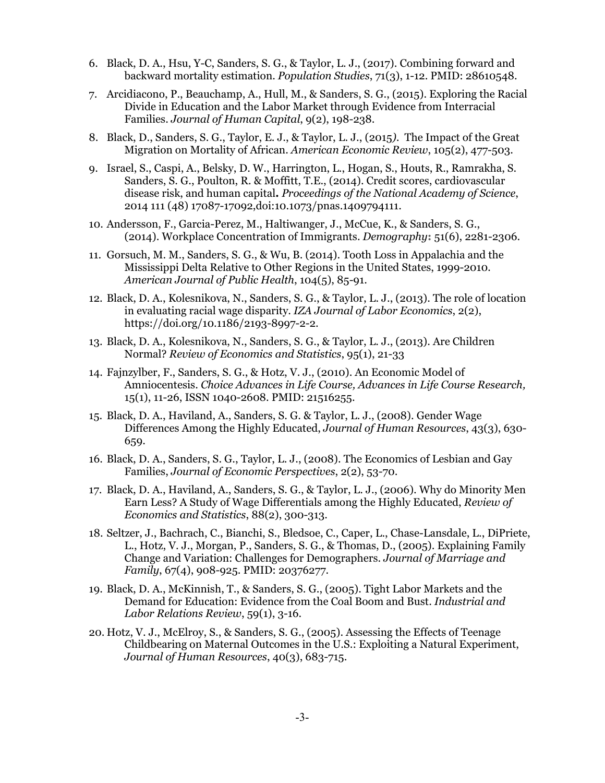- 6. Black, D. A., Hsu, Y-C, Sanders, S. G., & Taylor, L. J., (2017). Combining forward and backward mortality estimation. *Population Studies*, 71(3), 1-12. PMID: 28610548.
- 7. Arcidiacono, P., Beauchamp, A., Hull, M., & Sanders, S. G., (2015). Exploring the Racial Divide in Education and the Labor Market through Evidence from Interracial Families. *Journal of Human Capital*, 9(2), 198-238.
- 8. Black, D., Sanders, S. G., Taylor, E. J., & Taylor, L. J., (2015*).* The Impact of the Great Migration on Mortality of African. *American Economic Review*, 105(2), 477-503.
- 9. Israel, S., Caspi, A., Belsky, D. W., Harrington, L., Hogan, S., Houts, R., Ramrakha, S. Sanders, S. G., Poulton, R. & Moffitt, T.E., (2014). Credit scores, cardiovascular disease risk, and human capital**.** *Proceedings of the National Academy of Science*, 2014 111 (48) 17087-17092,doi:10.1073/pnas.1409794111.
- 10. Andersson, F., Garcia-Perez, M., Haltiwanger, J., McCue, K., & Sanders, S. G., (2014). Workplace Concentration of Immigrants. *Demography***:** 51(6), 2281-2306.
- 11. Gorsuch, M. M., Sanders, S. G., & Wu, B. (2014). Tooth Loss in Appalachia and the Mississippi Delta Relative to Other Regions in the United States, 1999-2010*. American Journal of Public Health*, 104(5), 85-91.
- 12. Black, D. A., Kolesnikova, N., Sanders, S. G., & Taylor, L. J., (2013). The role of location in evaluating racial wage disparity. *IZA Journal of Labor Economics*, 2(2), https://doi.org/10.1186/2193-8997-2-2.
- 13. Black, D. A., Kolesnikova, N., Sanders, S. G., & Taylor, L. J., (2013). Are Children Normal? *Review of Economics and Statistics*, 95(1), 21-33
- 14. Fajnzylber, F., Sanders, S. G., & Hotz, V. J., (2010). An Economic Model of Amniocentesis. *Choice Advances in Life Course, Advances in Life Course Research,* 15(1), 11-26, ISSN 1040-2608. PMID: 21516255.
- 15. Black, D. A., Haviland, A., Sanders, S. G. & Taylor, L. J., (2008). Gender Wage Differences Among the Highly Educated, *Journal of Human Resources*, 43(3), 630- 659.
- 16. Black, D. A., Sanders, S. G., Taylor, L. J., (2008). The Economics of Lesbian and Gay Families, *Journal of Economic Perspectives*, 2(2), 53-70.
- 17. Black, D. A., Haviland, A., Sanders, S. G., & Taylor, L. J., (2006). Why do Minority Men Earn Less? A Study of Wage Differentials among the Highly Educated, *Review of Economics and Statistics*, 88(2), 300-313.
- 18. Seltzer, J., Bachrach, C., Bianchi, S., Bledsoe, C., Caper, L., Chase-Lansdale, L., DiPriete, L., Hotz, V. J., Morgan, P., Sanders, S. G., & Thomas, D., (2005). Explaining Family Change and Variation: Challenges for Demographers. *Journal of Marriage and Family*, 67(4), 908-925. PMID: 20376277.
- 19. Black, D. A., McKinnish, T., & Sanders, S. G., (2005). Tight Labor Markets and the Demand for Education: Evidence from the Coal Boom and Bust. *Industrial and Labor Relations Review*, 59(1), 3-16.
- 20. Hotz, V. J., McElroy, S., & Sanders, S. G., (2005). Assessing the Effects of Teenage Childbearing on Maternal Outcomes in the U.S.: Exploiting a Natural Experiment, *Journal of Human Resources*, 40(3), 683-715.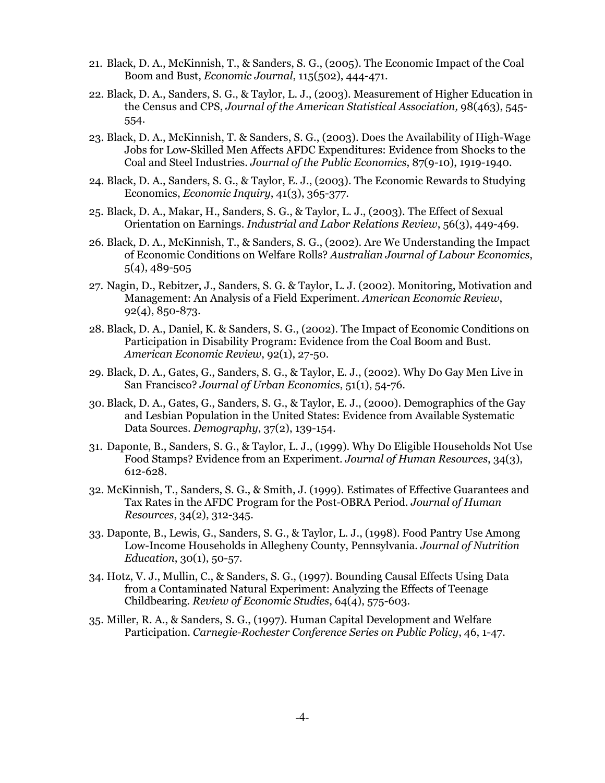- 21. Black, D. A., McKinnish, T., & Sanders, S. G., (2005). The Economic Impact of the Coal Boom and Bust, *Economic Journal*, 115(502), 444-471.
- 22. Black, D. A., Sanders, S. G., & Taylor, L. J., (2003). Measurement of Higher Education in the Census and CPS, *Journal of the American Statistical Association,* 98(463), 545- 554.
- 23. Black, D. A., McKinnish, T. & Sanders, S. G., (2003). Does the Availability of High-Wage Jobs for Low-Skilled Men Affects AFDC Expenditures: Evidence from Shocks to the Coal and Steel Industries. *Journal of the Public Economics*, 87(9-10), 1919-1940.
- 24. Black, D. A., Sanders, S. G., & Taylor, E. J., (2003). The Economic Rewards to Studying Economics, *Economic Inquiry*, 41(3), 365-377.
- 25. Black, D. A., Makar, H., Sanders, S. G., & Taylor, L. J., (2003). The Effect of Sexual Orientation on Earnings. *Industrial and Labor Relations Review*, 56(3), 449-469.
- 26. Black, D. A., McKinnish, T., & Sanders, S. G., (2002). Are We Understanding the Impact of Economic Conditions on Welfare Rolls? *Australian Journal of Labour Economics*, 5(4), 489-505
- 27. Nagin, D., Rebitzer, J., Sanders, S. G. & Taylor, L. J. (2002). Monitoring, Motivation and Management: An Analysis of a Field Experiment. *American Economic Review*, 92(4), 850-873.
- 28. Black, D. A., Daniel, K. & Sanders, S. G., (2002). The Impact of Economic Conditions on Participation in Disability Program: Evidence from the Coal Boom and Bust. *American Economic Review*, 92(1), 27-50.
- 29. Black, D. A., Gates, G., Sanders, S. G., & Taylor, E. J., (2002). Why Do Gay Men Live in San Francisco? *Journal of Urban Economics*, 51(1), 54-76.
- 30. Black, D. A., Gates, G., Sanders, S. G., & Taylor, E. J., (2000). Demographics of the Gay and Lesbian Population in the United States: Evidence from Available Systematic Data Sources. *Demography*, 37(2), 139-154.
- 31. Daponte, B., Sanders, S. G., & Taylor, L. J., (1999). Why Do Eligible Households Not Use Food Stamps? Evidence from an Experiment. *Journal of Human Resources*, 34(3), 612-628.
- 32. McKinnish, T., Sanders, S. G., & Smith, J. (1999). Estimates of Effective Guarantees and Tax Rates in the AFDC Program for the Post-OBRA Period. *Journal of Human Resources*, 34(2), 312-345.
- 33. Daponte, B., Lewis, G., Sanders, S. G., & Taylor, L. J., (1998). Food Pantry Use Among Low-Income Households in Allegheny County, Pennsylvania. *Journal of Nutrition Education*, 30(1), 50-57.
- 34. Hotz, V. J., Mullin, C., & Sanders, S. G., (1997). Bounding Causal Effects Using Data from a Contaminated Natural Experiment: Analyzing the Effects of Teenage Childbearing*. Review of Economic Studies*, 64(4), 575-603.
- 35. Miller, R. A., & Sanders, S. G., (1997). Human Capital Development and Welfare Participation. *Carnegie-Rochester Conference Series on Public Policy*, 46, 1-47.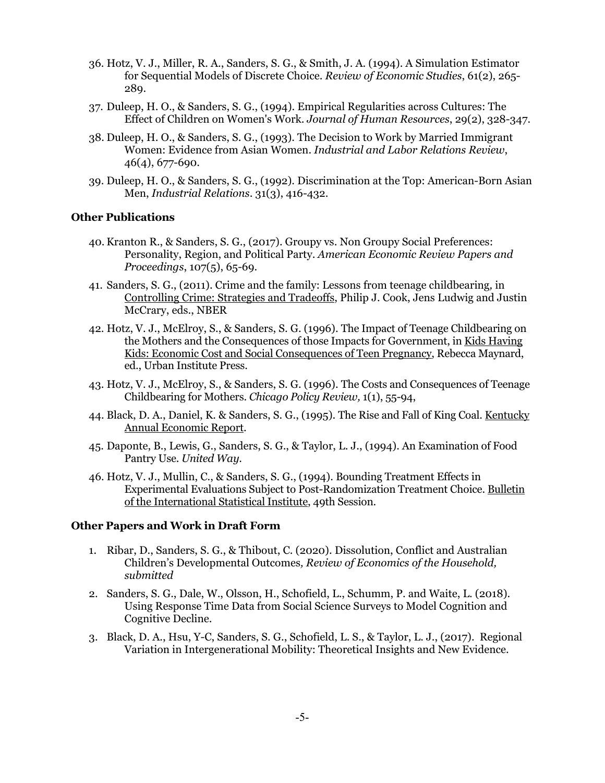- 36. Hotz, V. J., Miller, R. A., Sanders, S. G., & Smith, J. A. (1994). A Simulation Estimator for Sequential Models of Discrete Choice. *Review of Economic Studies*, 61(2), 265- 289.
- 37. Duleep, H. O., & Sanders, S. G., (1994). Empirical Regularities across Cultures: The Effect of Children on Women's Work. *Journal of Human Resources*, 29(2), 328-347.
- 38. Duleep, H. O., & Sanders, S. G., (1993). The Decision to Work by Married Immigrant Women: Evidence from Asian Women. *Industrial and Labor Relations Review*, 46(4), 677-690.
- 39. Duleep, H. O., & Sanders, S. G., (1992). Discrimination at the Top: American-Born Asian Men, *Industrial Relations*. 31(3), 416-432.

# **Other Publications**

- 40. Kranton R., & Sanders, S. G., (2017). Groupy vs. Non Groupy Social Preferences: Personality, Region, and Political Party. *American Economic Review Papers and Proceedings*, 107(5), 65-69.
- 41. Sanders, S. G., (2011). Crime and the family: Lessons from teenage childbearing*,* in Controlling Crime: Strategies and Tradeoffs, Philip J. Cook, Jens Ludwig and Justin McCrary, eds., NBER
- 42. Hotz, V. J., McElroy, S., & Sanders, S. G. (1996). The Impact of Teenage Childbearing on the Mothers and the Consequences of those Impacts for Government, in Kids Having Kids: Economic Cost and Social Consequences of Teen Pregnancy, Rebecca Maynard, ed., Urban Institute Press.
- 43. Hotz, V. J., McElroy, S., & Sanders, S. G. (1996). The Costs and Consequences of Teenage Childbearing for Mothers. *Chicago Policy Review,* 1(1), 55-94,
- 44. Black, D. A., Daniel, K. & Sanders, S. G., (1995). The Rise and Fall of King Coal. Kentucky Annual Economic Report.
- 45. Daponte, B., Lewis, G., Sanders, S. G., & Taylor, L. J., (1994). An Examination of Food Pantry Use. *United Way*.
- 46. Hotz, V. J., Mullin, C., & Sanders, S. G., (1994). Bounding Treatment Effects in Experimental Evaluations Subject to Post-Randomization Treatment Choice. Bulletin of the International Statistical Institute, 49th Session.

# **Other Papers and Work in Draft Form**

- 1. Ribar, D., Sanders, S. G., & Thibout, C. (2020). Dissolution, Conflict and Australian Children's Developmental Outcomes*, Review of Economics of the Household, submitted*
- 2. Sanders, S. G., Dale, W., Olsson, H., Schofield, L., Schumm, P. and Waite, L. (2018). Using Response Time Data from Social Science Surveys to Model Cognition and Cognitive Decline.
- 3. Black, D. A., Hsu, Y-C, Sanders, S. G., Schofield, L. S., & Taylor, L. J., (2017). Regional Variation in Intergenerational Mobility: Theoretical Insights and New Evidence.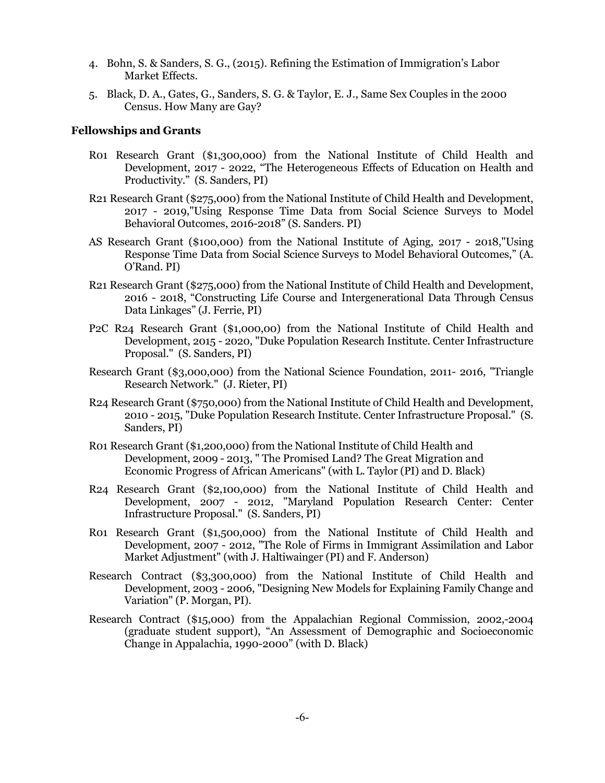- 4. Bohn, S. & Sanders, S. G., (2015). Refining the Estimation of Immigration's Labor Market Effects.
- 5. Black, D. A., Gates, G., Sanders, S. G. & Taylor, E. J., Same Sex Couples in the 2000 Census. How Many are Gay?

#### **Fellowships and Grants**

- R01 Research Grant (\$1,300,000) from the National Institute of Child Health and Development, 2017 - 2022, "The Heterogeneous Effects of Education on Health and Productivity." (S. Sanders, PI)
- R21 Research Grant (\$275,000) from the National Institute of Child Health and Development, 2017 - 2019,"Using Response Time Data from Social Science Surveys to Model Behavioral Outcomes, 2016-2018" (S. Sanders. PI)
- AS Research Grant (\$100,000) from the National Institute of Aging, 2017 2018,"Using Response Time Data from Social Science Surveys to Model Behavioral Outcomes," (A. O'Rand. PI)
- R21 Research Grant (\$275,000) from the National Institute of Child Health and Development, 2016 - 2018, "Constructing Life Course and Intergenerational Data Through Census Data Linkages" (J. Ferrie, PI)
- P2C R24 Research Grant (\$1,000,00) from the National Institute of Child Health and Development, 2015 - 2020, "Duke Population Research Institute. Center Infrastructure Proposal." (S. Sanders, PI)
- Research Grant (\$3,000,000) from the National Science Foundation, 2011- 2016, "Triangle Research Network." (J. Rieter, PI)
- R24 Research Grant (\$750,000) from the National Institute of Child Health and Development, 2010 - 2015, "Duke Population Research Institute. Center Infrastructure Proposal." (S. Sanders, PI)
- R01 Research Grant (\$1,200,000) from the National Institute of Child Health and Development, 2009 - 2013, " The Promised Land? The Great Migration and Economic Progress of African Americans" (with L. Taylor (PI) and D. Black)
- R24 Research Grant (\$2,100,000) from the National Institute of Child Health and Development, 2007 - 2012, "Maryland Population Research Center: Center Infrastructure Proposal." (S. Sanders, PI)
- R01 Research Grant (\$1,500,000) from the National Institute of Child Health and Development, 2007 - 2012, "The Role of Firms in Immigrant Assimilation and Labor Market Adjustment" (with J. Haltiwainger (PI) and F. Anderson)
- Research Contract (\$3,300,000) from the National Institute of Child Health and Development, 2003 - 2006, "Designing New Models for Explaining Family Change and Variation" (P. Morgan, PI).
- Research Contract (\$15,000) from the Appalachian Regional Commission, 2002,-2004 (graduate student support), "An Assessment of Demographic and Socioeconomic Change in Appalachia, 1990-2000" (with D. Black)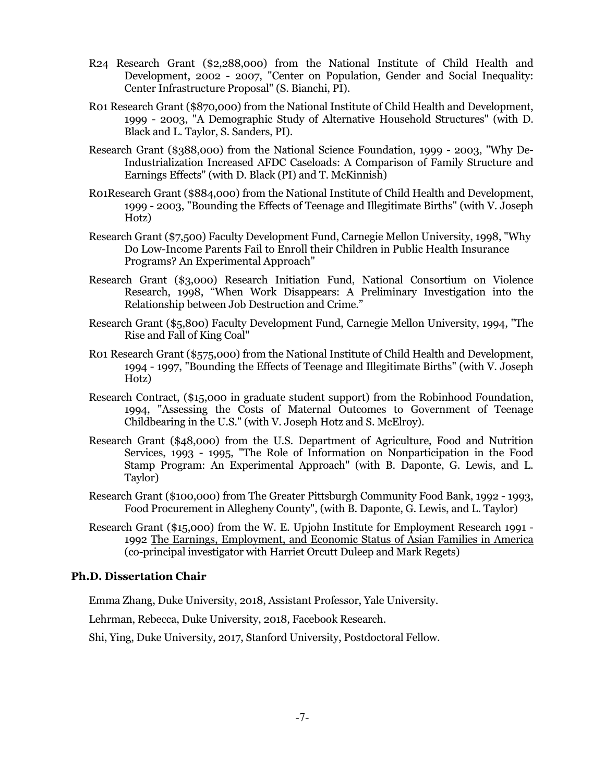- R24 Research Grant (\$2,288,000) from the National Institute of Child Health and Development, 2002 - 2007, "Center on Population, Gender and Social Inequality: Center Infrastructure Proposal" (S. Bianchi, PI).
- R01 Research Grant (\$870,000) from the National Institute of Child Health and Development, 1999 - 2003, "A Demographic Study of Alternative Household Structures" (with D. Black and L. Taylor, S. Sanders, PI).
- Research Grant (\$388,000) from the National Science Foundation, 1999 2003, "Why De-Industrialization Increased AFDC Caseloads: A Comparison of Family Structure and Earnings Effects" (with D. Black (PI) and T. McKinnish)
- R01Research Grant (\$884,000) from the National Institute of Child Health and Development, 1999 - 2003, "Bounding the Effects of Teenage and Illegitimate Births" (with V. Joseph Hotz)
- Research Grant (\$7,500) Faculty Development Fund, Carnegie Mellon University, 1998, "Why Do Low-Income Parents Fail to Enroll their Children in Public Health Insurance Programs? An Experimental Approach"
- Research Grant (\$3,000) Research Initiation Fund, National Consortium on Violence Research, 1998, "When Work Disappears: A Preliminary Investigation into the Relationship between Job Destruction and Crime."
- Research Grant (\$5,800) Faculty Development Fund, Carnegie Mellon University, 1994, "The Rise and Fall of King Coal"
- R01 Research Grant (\$575,000) from the National Institute of Child Health and Development, 1994 - 1997, "Bounding the Effects of Teenage and Illegitimate Births" (with V. Joseph Hotz)
- Research Contract, (\$15,000 in graduate student support) from the Robinhood Foundation, 1994, "Assessing the Costs of Maternal Outcomes to Government of Teenage Childbearing in the U.S." (with V. Joseph Hotz and S. McElroy).
- Research Grant (\$48,000) from the U.S. Department of Agriculture, Food and Nutrition Services, 1993 - 1995, "The Role of Information on Nonparticipation in the Food Stamp Program: An Experimental Approach" (with B. Daponte, G. Lewis, and L. Taylor)
- Research Grant (\$100,000) from The Greater Pittsburgh Community Food Bank, 1992 1993, Food Procurement in Allegheny County", (with B. Daponte, G. Lewis, and L. Taylor)
- Research Grant (\$15,000) from the W. E. Upjohn Institute for Employment Research 1991 1992 The Earnings, Employment, and Economic Status of Asian Families in America (co-principal investigator with Harriet Orcutt Duleep and Mark Regets)

### **Ph.D. Dissertation Chair**

Emma Zhang, Duke University, 2018, Assistant Professor, Yale University.

Lehrman, Rebecca, Duke University, 2018, Facebook Research.

Shi, Ying, Duke University, 2017, Stanford University, Postdoctoral Fellow.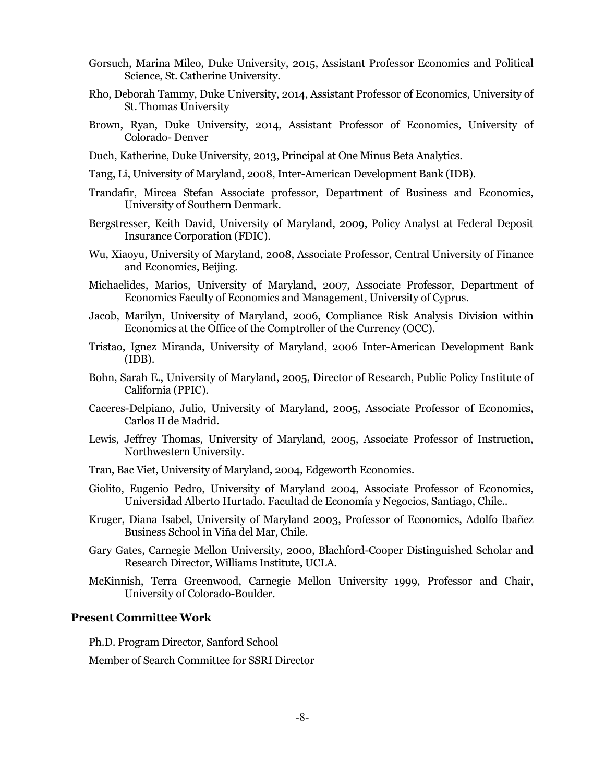- Gorsuch, Marina Mileo, Duke University, 2015, Assistant Professor Economics and Political Science, St. Catherine University.
- Rho, Deborah Tammy, Duke University, 2014, Assistant Professor of Economics, University of St. Thomas University
- Brown, Ryan, Duke University, 2014, Assistant Professor of Economics, University of Colorado- Denver
- Duch, Katherine, Duke University, 2013, Principal at One Minus Beta Analytics.
- Tang, Li, University of Maryland, 2008, Inter-American Development Bank (IDB).
- Trandafir, Mircea Stefan Associate professor, Department of Business and Economics, University of Southern Denmark.
- Bergstresser, Keith David, University of Maryland, 2009, Policy Analyst at Federal Deposit Insurance Corporation (FDIC).
- Wu, Xiaoyu, University of Maryland, 2008, Associate Professor, Central University of Finance and Economics, Beijing.
- Michaelides, Marios, University of Maryland, 2007, Associate Professor, Department of Economics Faculty of Economics and Management, University of Cyprus.
- Jacob, Marilyn, University of Maryland, 2006, Compliance Risk Analysis Division within Economics at the Office of the Comptroller of the Currency (OCC).
- Tristao, Ignez Miranda, University of Maryland, 2006 Inter-American Development Bank (IDB).
- Bohn, Sarah E., University of Maryland, 2005, Director of Research, Public Policy Institute of California (PPIC).
- Caceres-Delpiano, Julio, University of Maryland, 2005, Associate Professor of Economics, Carlos II de Madrid.
- Lewis, Jeffrey Thomas, University of Maryland, 2005, Associate Professor of Instruction, Northwestern University.
- Tran, Bac Viet, University of Maryland, 2004, Edgeworth Economics.
- Giolito, Eugenio Pedro, University of Maryland 2004, Associate Professor of Economics, Universidad Alberto Hurtado. Facultad de Economía y Negocios, Santiago, Chile..
- Kruger, Diana Isabel, University of Maryland 2003, Professor of Economics, Adolfo Ibañez Business School in Viña del Mar, Chile.
- Gary Gates, Carnegie Mellon University, 2000, Blachford-Cooper Distinguished Scholar and Research Director, Williams Institute, UCLA.
- McKinnish, Terra Greenwood, Carnegie Mellon University 1999, Professor and Chair, University of Colorado-Boulder.

### **Present Committee Work**

Ph.D. Program Director, Sanford School

Member of Search Committee for SSRI Director